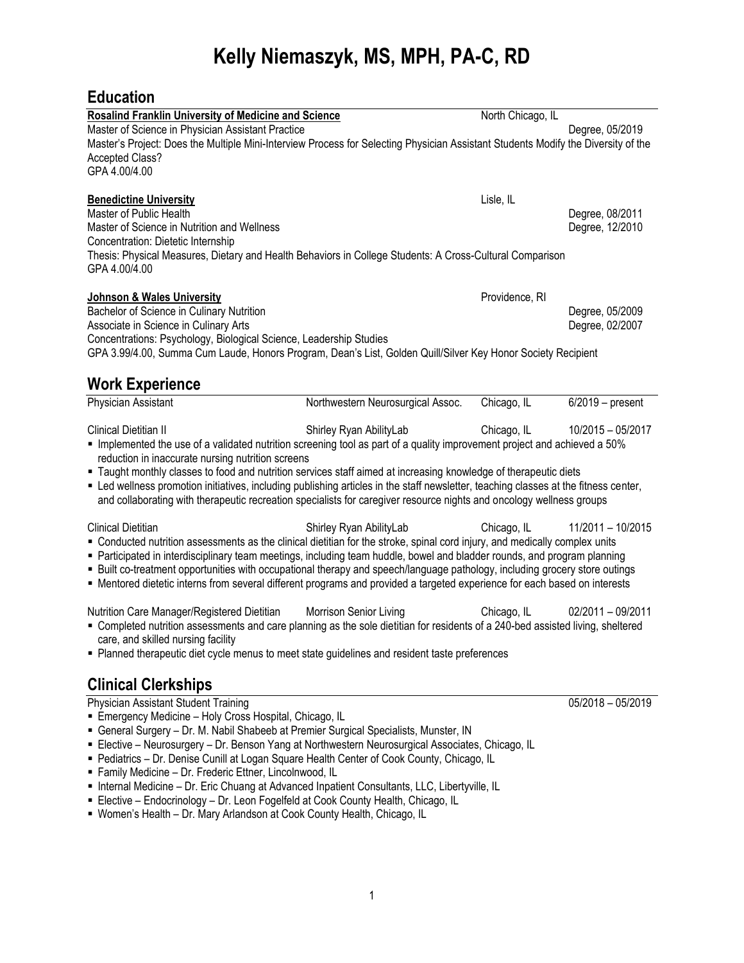## **Kelly Niemaszyk, MS, MPH, PA-C, RD**

## **Education**

| <b>Rosalind Franklin University of Medicine and Science</b>                                                                                                                                                                                                                                                                                                                                                                                                                                                                                                                                                                                                                                                     |                                   | North Chicago, IL |                                    |  |
|-----------------------------------------------------------------------------------------------------------------------------------------------------------------------------------------------------------------------------------------------------------------------------------------------------------------------------------------------------------------------------------------------------------------------------------------------------------------------------------------------------------------------------------------------------------------------------------------------------------------------------------------------------------------------------------------------------------------|-----------------------------------|-------------------|------------------------------------|--|
| Master of Science in Physician Assistant Practice<br>Degree, 05/2019<br>Master's Project: Does the Multiple Mini-Interview Process for Selecting Physician Assistant Students Modify the Diversity of the<br><b>Accepted Class?</b><br>GPA 4.00/4.00                                                                                                                                                                                                                                                                                                                                                                                                                                                            |                                   |                   |                                    |  |
| <b>Benedictine University</b><br>Master of Public Health<br>Master of Science in Nutrition and Wellness<br>Concentration: Dietetic Internship<br>Thesis: Physical Measures, Dietary and Health Behaviors in College Students: A Cross-Cultural Comparison                                                                                                                                                                                                                                                                                                                                                                                                                                                       |                                   | Lisle, IL         | Degree, 08/2011<br>Degree, 12/2010 |  |
| GPA 4.00/4.00<br><b>Johnson &amp; Wales University</b><br>Providence, RI<br>Bachelor of Science in Culinary Nutrition<br>Degree, 05/2009<br>Associate in Science in Culinary Arts<br>Degree, 02/2007<br>Concentrations: Psychology, Biological Science, Leadership Studies<br>GPA 3.99/4.00, Summa Cum Laude, Honors Program, Dean's List, Golden Quill/Silver Key Honor Society Recipient<br><b>Work Experience</b>                                                                                                                                                                                                                                                                                            |                                   |                   |                                    |  |
| Physician Assistant                                                                                                                                                                                                                                                                                                                                                                                                                                                                                                                                                                                                                                                                                             | Northwestern Neurosurgical Assoc. | Chicago, IL       | $6/2019$ – present                 |  |
| Shirley Ryan AbilityLab<br>Clinical Dietitian II<br>Chicago, IL<br>10/2015 - 05/2017<br>• Implemented the use of a validated nutrition screening tool as part of a quality improvement project and achieved a 50%<br>reduction in inaccurate nursing nutrition screens<br>" Taught monthly classes to food and nutrition services staff aimed at increasing knowledge of therapeutic diets<br>" Led wellness promotion initiatives, including publishing articles in the staff newsletter, teaching classes at the fitness center,<br>and collaborating with therapeutic recreation specialists for caregiver resource nights and oncology wellness groups                                                      |                                   |                   |                                    |  |
| <b>Clinical Dietitian</b><br>Shirley Ryan AbilityLab<br>Chicago, IL<br>11/2011 - 10/2015<br>• Conducted nutrition assessments as the clinical dietitian for the stroke, spinal cord injury, and medically complex units<br>Participated in interdisciplinary team meetings, including team huddle, bowel and bladder rounds, and program planning<br>- Built co-treatment opportunities with occupational therapy and speech/language pathology, including grocery store outings<br>• Mentored dietetic interns from several different programs and provided a targeted experience for each based on interests                                                                                                  |                                   |                   |                                    |  |
| Morrison Senior Living<br>Nutrition Care Manager/Registered Dietitian<br>Chicago, IL<br>02/2011 - 09/2011<br>" Completed nutrition assessments and care planning as the sole dietitian for residents of a 240-bed assisted living, sheltered<br>care, and skilled nursing facility<br>Planned therapeutic diet cycle menus to meet state guidelines and resident taste preferences                                                                                                                                                                                                                                                                                                                              |                                   |                   |                                    |  |
| <b>Clinical Clerkships</b>                                                                                                                                                                                                                                                                                                                                                                                                                                                                                                                                                                                                                                                                                      |                                   |                   |                                    |  |
| Physician Assistant Student Training<br>Emergency Medicine - Holy Cross Hospital, Chicago, IL<br>General Surgery - Dr. M. Nabil Shabeeb at Premier Surgical Specialists, Munster, IN<br>Elective - Neurosurgery - Dr. Benson Yang at Northwestern Neurosurgical Associates, Chicago, IL<br>Pediatrics - Dr. Denise Cunill at Logan Square Health Center of Cook County, Chicago, IL<br>" Family Medicine - Dr. Frederic Ettner, Lincolnwood, IL<br>Internal Medicine - Dr. Eric Chuang at Advanced Inpatient Consultants, LLC, Libertyville, IL<br>Elective - Endocrinology - Dr. Leon Fogelfeld at Cook County Health, Chicago, IL<br>" Women's Health - Dr. Mary Arlandson at Cook County Health, Chicago, IL |                                   |                   | 05/2018 - 05/2019                  |  |